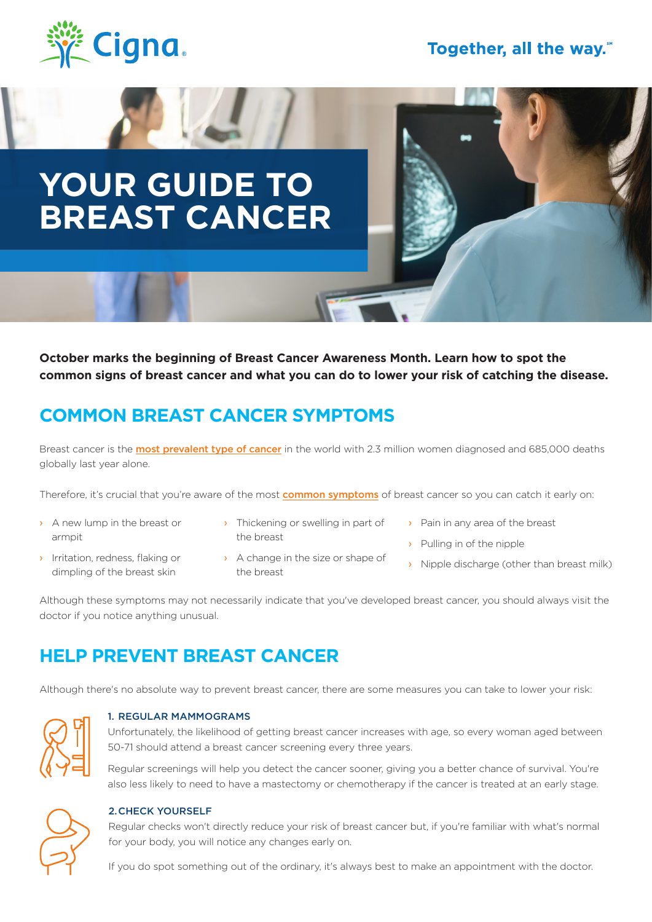

# **YOUR GUIDE TO BREAST CANCER**

**October marks the beginning of Breast Cancer Awareness Month. Learn how to spot the common signs of breast cancer and what you can do to lower your risk of catching the disease.**

## **COMMON BREAST CANCER SYMPTOMS**

Breast cancer is the **[most prevalent type of cancer](https://www.who.int/news-room/fact-sheets/detail/breast-cancer)** in the world with 2.3 million women diagnosed and 685,000 deaths globally last year alone.

Therefore, it's crucial that you're aware of the most [common symptoms](https://www.nhs.uk/conditions/breast-cancer/symptoms/) of breast cancer so you can catch it early on:

- › A new lump in the breast or armpit
- **I** Irritation, redness, flaking or dimpling of the breast skin
- > Thickening or swelling in part of the breast
- › A change in the size or shape of the breast
- › Pain in any area of the breast
- › Pulling in of the nipple
- > Nipple discharge (other than breast milk)

Although these symptoms may not necessarily indicate that you've developed breast cancer, you should always visit the doctor if you notice anything unusual.

### **HELP PREVENT BREAST CANCER**

Although there's no absolute way to prevent breast cancer, there are some measures you can take to lower your risk:



#### 1. REGULAR MAMMOGRAMS

Unfortunately, the likelihood of getting breast cancer increases with age, so every woman aged between 50-71 should attend a breast cancer screening every three years.

Regular screenings will help you detect the cancer sooner, giving you a better chance of survival. You're also less likely to need to have a mastectomy or chemotherapy if the cancer is treated at an early stage.



#### 2.CHECK YOURSELF

Regular checks won't directly reduce your risk of breast cancer but, if you're familiar with what's normal for your body, you will notice any changes early on.

If you do spot something out of the ordinary, it's always best to make an appointment with the doctor.